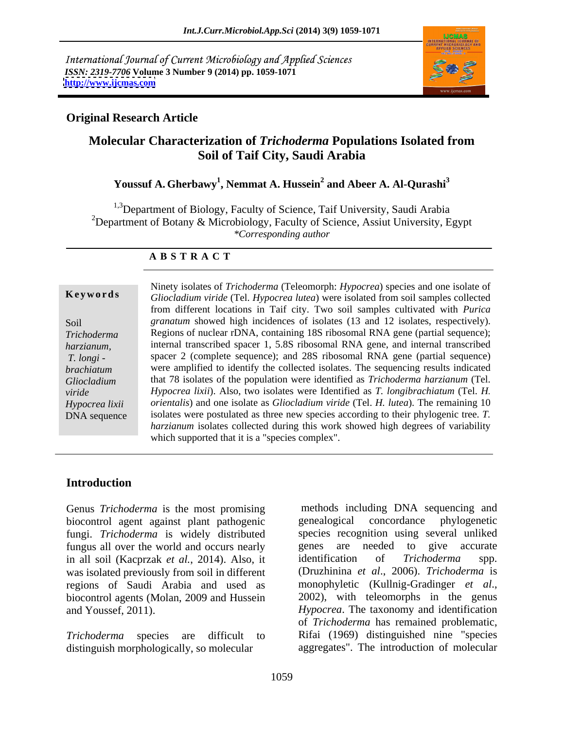International Journal of Current Microbiology and Applied Sciences *ISSN: 2319-7706* **Volume 3 Number 9 (2014) pp. 1059-1071 <http://www.ijcmas.com>**



### **Original Research Article**

# **Molecular Characterization of** *Trichoderma* **Populations Isolated from Soil of Taif City, Saudi Arabia**

## **Youssuf A. Gherbawy<sup>1</sup> , Nemmat A. Hussein<sup>2</sup> and Abeer A. Al-Qurashi<sup>3</sup>**

<sup>1,3</sup>Department of Biology, Faculty of Science, Taif University, Saudi Arabia <sup>2</sup>Department of Botany & Microbiology, Faculty of Science, Assiut University, Egypt *\*Corresponding author* 

### **A B S T R A C T**

**Ke ywo rds** *Gliocladium viride* (Tel. *Hypocrea lutea*) were isolated from soil samples collected Soil *granatum* showed high incidences of isolates (13 and 12 isolates, respectively). *Trichoderma* Regions of nuclear rDNA, containing 18S ribosomal RNA gene (partial sequence); *harzianum,* internal transcribed spacer 1, 5.8S ribosomal RNA gene, and internal transcribed *T. longi -* spacer 2 (complete sequence); and 28S ribosomal RNA gene (partial sequence) *brachiatum* were amplified to identify the collected isolates. The sequencing results indicated *Gliocladium*  that 78 isolates of the population were identified as *Trichoderma harzianum* (Tel. *viride Hypocrea lixii*). Also, two isolates were Identified as *T. longibrachiatum* (Tel. *H. Hypocrea lixii orientalis*) and one isolate as *Gliocladium viride* (Tel. *H. lutea*). The remaining 10 *Hypocrea lixii orientalis*) and one isolate as *Gliocladium viride* (Tel. *H. lutea*). The remaining 10 DNA sequence isolates were postulated as three new species according to their phylogenic tree. *T*. Ninety isolates of *Trichoderma* (Teleomorph: *Hypocrea*) species and one isolate of from different locations in Taif city. Two soil samples cultivated with *Purica*  Hypocrea lixii). Also, two isolates were Identified as *T. longibrachiatum* (Tel. *H. orientalis*) and one isolate as *Gliocladium viride* (Tel. *H. lutea*). The remaining 10 *harzianum* isolates collected during this work showed high degrees of variability which supported that it is a "species complex".

### **Introduction**

Genus *Trichoderma* is the most promising biocontrol agent against plant pathogenic fungi. *Trichoderma* is widely distributed species recognition u<br>fungus all over the world and occurs nearly genes are needed fungus all over the world and occurs nearly genes are needed to give accurate<br>in all soil (Kacprzak *et al.* 2014) Also it identification of *Trichoderma* spp. in all soil (Kacprzak *et al.*, 2014). Also, it identification of *Trichoderma* spp. was isolated previously from soil in different regions of Saudi Arabia and used as monophyletic (Kullnig-Gradinger et al., biocontrol agents (Molan, 2009 and Hussein 2002), with teleomorphs in the genus

distinguish morphologically, so molecular

and Youssef, 2011). *Hypocrea*. The taxonomy and identification *Trichoderma* species are difficult to Rifai (1969) distinguished nine "species methods including DNA sequencing and genealogical concordance phylogenetic species recognition using several unliked genes are needed to give accurate identification of *Trichoderma* spp. (Druzhinina *et al*., 2006). *Trichoderma* is monophyletic (Kullnig-Gradinger *et al*., 2002), with teleomorphs in thegenus of *Trichoderma* has remained problematic, aggregates". The introduction of molecular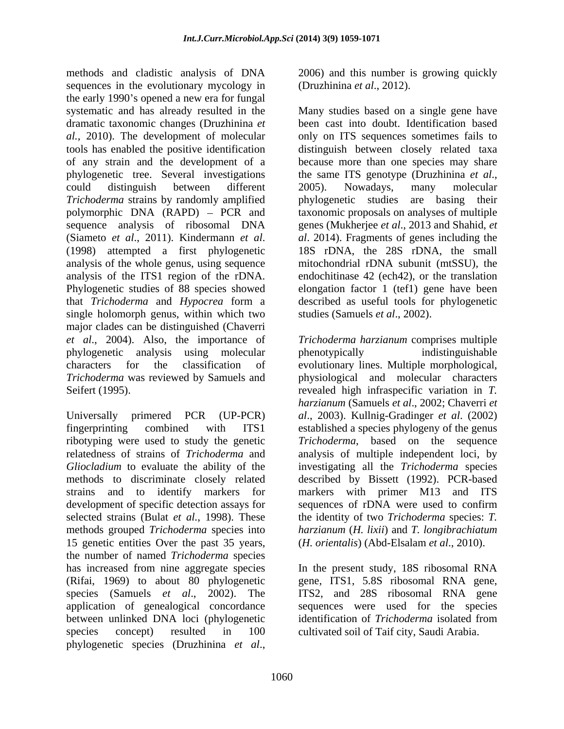methods and cladistic analysis of DNA 2006) and this number is growing quickly sequences in the evolutionary mycology in the early 1990's opened a new era for fungal dramatic taxonomic changes (Druzhinina *et*  phylogenetic tree. Several investigations the same ITS genotype (Druzhinina et al., *Trichoderma* strains by randomly amplified by phylogenetic studies are basing their single holomorph genus, within which two major clades can be distinguished (Chaverri

15 genetic entities Over the past 35 years, the number of named *Trichoderma* species application of genealogical concordance species concept) resulted in 100 cultivated soil of Taif city, Saudi Arabia.phylogenetic species (Druzhinina *et al*.,

(Druzhinina *et al*., 2012).

systematic and has already resulted in the Many studies based on a single gene have *al.*, 2010). The development of molecular only on ITS sequences sometimes fails to tools has enabled the positive identification distinguish between closely related taxa of any strain and the development of a because more than one species may share could distinguish between different polymorphic DNA (RAPD) – PCR and taxonomic proposals on analyses of multiple sequence analysis of ribosomal DNA genes (Mukherjee *et al*., 2013 and Shahid, *et*  (Siameto *et al.*, 2011). Kindermann *et al.* al. 2014). Fragments of genes including the (1998) attempted a first phylogenetic 18S rDNA, the 28S rDNA, the small analysis of the whole genus, using sequence mitochondrial rDNA subunit (mtSSU), the analysis of the ITS1 region of the rDNA. endochitinase 42 (ech42), or the translation Phylogenetic studies of 88 species showed elongation factor 1 (tef1) gene have been that *Trichoderma* and *Hypocrea* form a described as useful tools for phylogenetic been cast into doubt. Identification based the same ITS genotype (Druzhinina *et al*., 2005). Nowadays, many molecular phylogenetic studies are basing their *al*. 2014). Fragments of genes including the 18S rDNA, the 28S rDNA, the small studies (Samuels *et al*., 2002).

*et al*., 2004). Also, the importance of *Trichoderma harzianum* comprises multiple phylogenetic analysis using molecular characters for the classification of evolutionary lines. Multiple morphological, *Trichoderma* was reviewed by Samuels and physiological and molecular characters Seifert (1995). revealed high infraspecific variation in *T.*  Universally primered PCR (UP-PCR) *al*., 2003). Kullnig-Gradinger *et al*. (2002) fingerprinting combined with ITS1 established a species phylogeny of the genus ribotyping were used to study the genetic *Trichoderma*, based on the sequence relatedness of strains of *Trichoderma* and analysis of multiple independent loci, by *Gliocladium* to evaluate the ability of the investigating all the *Trichoderma* species methods to discriminate closely related described by Bissett (1992). PCR-based strains and to identify markers for markers with primer M13 and ITS development of specific detection assays for sequences of rDNA were used to confirm selected strains (Bulat *et al.*, 1998). These the identity of two *Trichoderma* species: *T.* methods grouped *Trichoderma* species into *harzianum* (*H. lixii*) and *T. longibrachiatum* phenotypically indistinguishable *harzianum* (Samuels *et al*., 2002; Chaverri *et* (*H. orientalis*) (Abd-Elsalam *et al*., 2010).

has increased from nine aggregate species In the present study, 18S ribosomal RNA (Rifai, 1969) to about 80 phylogenetic gene, ITS1, 5.8S ribosomal RNA gene, species (Samuels *et al*., 2002). The ITS2, and 28S ribosomal RNA gene between unlinked DNA loci (phylogenetic identification of *Trichoderma* isolated from sequences were used for the species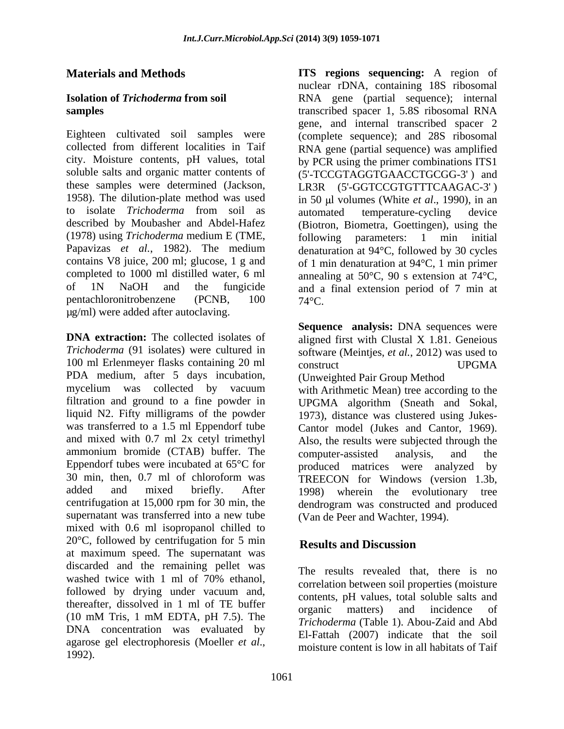(1978) using *Trichoderma* medium E (TME, µg/ml) were added after autoclaving.

**DNA extraction:** The collected isolates of aligned first with Clustal X 1.81. Geneious *Trichoderma* (91 isolates) were cultured in software (Meintjes, *et al.*, 2012) was used to 100 ml Erlenmeyer flasks containing 20 ml construct COMA UPGMA PDA medium, after 5 days incubation, mycelium was collected by vacuum with Arithmetic Mean) tree according to the filtration and ground to a fine powder in UPGMA algorithm (Sneath and Sokal, liquid N2. Fifty milligrams of the powder 1973), distance was clustered using Jukes was transferred to a 1.5 ml Eppendorf tube Cantor model (Jukes and Cantor, 1969). and mixed with 0.7 ml 2x cetyl trimethyl Also, the results were subjected through the ammonium bromide (CTAB) buffer. The computer-assisted analysis, and the Eppendorf tubes were incubated at 65°C for 30 min, then, 0.7 ml of chloroform was TREECON for Windows (version 1.3b, added and mixed briefly. After 1998) wherein the evolutionary tree centrifugation at 15,000 rpm for 30 min, the dendrogram was constructed and produced supernatant was transferred into a new tube mixed with 0.6 ml isopropanol chilled to  $20^{\circ}$ C, followed by centrifugation for 5 min<br>Results and Discussion at maximum speed. The supernatant was discarded and the remaining pellet was washed twice with 1 ml of 70% ethanol, followed by drying under vacuum and, thereafter, dissolved in 1 ml of TE buffer<br>organic matters) and incidence of  $(10 \text{ mM Tris}, 1 \text{ mM EDTA}, pH 7.5)$ . The  $Trichodorma$  (Table 1) Abou Zaid and Abd DNA concentration was evaluated by agarose gel electrophoresis (Moeller *et al.*,<br>moisture content is low in all habitats of Taif<br>1992).

**Materials and Methods ITS regions sequencing:** A region of **Isolation of** *Trichoderma* **from soil**  RNA gene (partial sequence); internal **samples** transcribed spacer 1, 5.8S ribosomal RNA Eighteen cultivated soil samples were (complete sequence); and 28S ribosomal collected from different localities in Taif RNA gene (partial sequence) was amplified city. Moisture contents, pH values, total by PCR using the primer combinations ITS1 soluble salts and organic matter contents of  $(5'-TCCGTAGGTGAACCTGCCG-3')$  and these samples were determined (Jackson, LR3R (5'-GGTCCGTGTTTCAAGAC-3' ) 1958). The dilution-plate method was used in 50 µl volumes (White *et al.*, 1990), in an to isolate *Trichoderma* from soil as described by Moubasher and Abdel-Hafez (Biotron, Biometra, Goettingen), using the Papavizas *et al.*, 1982). The medium denaturation at 94°C, followed by 30 cycles contains V8 juice, 200 ml; glucose, 1 g and of 1 min denaturation at 94°C, 1 min primer completed to 1000 ml distilled water, 6 ml annealing at 50°C, 90 s extension at 74°C, of 1N NaOH and the fungicide and a final extension period of 7 min at pentachloronitrobenzene (PCNB,  $100$   $74^{\circ}$ C. nuclear rDNA, containing 18S ribosomal gene, and internal transcribed spacer 2 automated temperature-cycling device following parameters: 1 min initial  $74^{\circ}$ C.

> **Sequence analysis:** DNA sequences were construct UPGMA (Unweighted Pair Group Method

computer-assisted analysis, and the produced matrices were analyzed by 1998) wherein the evolutionary tree (Van de Peer and Wachter, 1994).

# **Results and Discussion**

The results revealed that, there is no correlation between soil properties (moisture contents, pH values, total soluble salts and organic matters) and incidence of *Trichoderma* (Table 1). Abou-Zaid and Abd El-Fattah (2007) indicate that the soil moisture content is low in all habitats of Taif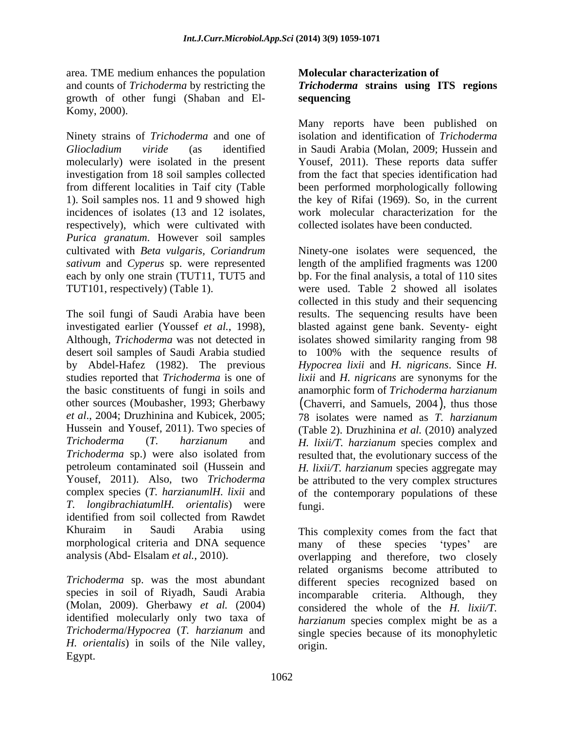area. TME medium enhances the population and counts of *Trichoderma* by restricting the *Trichoderma* **strains using ITS regions**  growth of other fungi (Shaban and El- Komy, 2000).

Ninety strains of *Trichoderma* and one of *Gliocladium viride* (as identified in Saudi Arabia (Molan, 2009; Hussein and molecularly) were isolated in the present Yousef, 2011). These reports data suffer investigation from 18 soil samples collected from the fact that species identification had from different localities in Taif city (Table been performed morphologically following 1). Soil samples nos. 11 and 9 showed high the key of Rifai (1969). So, in the current incidences of isolates (13 and 12 isolates, respectively), which were cultivated with *Purica granatum*. However soil samples cultivated with *Beta vulgaris, Coriandrum*

The soil fungi of Saudi Arabia have been results. The sequencing results have been investigated earlier (Youssef *et al.*, 1998), blasted against gene bank. Seventy- eight Although, *Trichoderma* was not detected in isolates showed similarity ranging from 98 desert soil samples of Saudi Arabia studied to 100% with the sequence results of by Abdel-Hafez (1982). The previous *Hypocrea lixii* and *H. nigricans*. Since *H.*  studies reported that *Trichoderma* is one of *lixii* and *H. nigricans* are synonyms for the the basic constituents of fungi in soils and anamorphic form of *Trichoderma harzianum* other sources (Moubasher, 1993; Gherbawy (Chaverri, and Samuels, 2004), thus those *et al*., 2004; Druzhinina and Kubicek, 2005; 78 isolates were named as *T. harzianum* Hussein and Yousef, 2011). Two species of (Table 2). Druzhinina *et al.* (2010) analyzed *Trichoderma* (*T. harzianum* and *H. lixii/T. harzianum* species complex and *Trichoderma* sp.) were also isolated from resulted that, the evolutionary success of the petroleum contaminated soil (Hussein and *H. lixii/T. harzianum* species aggregate may Yousef, 2011). Also, two *Trichoderma* be attributed to the very complex structures complex species (*T. harzianumlH. lixii* and of the contemporary populations of these *T. longibrachiatumlH. orientalis*) were identified from soil collected from Rawdet morphological criteria and DNA sequence many of these species 'types' are

species in soil of Riyadh, Saudi Arabia incomparable criteria. Although, they (Molan, 2009). Gherbawy *et al.* (2004) identified molecularly only two taxa of *H. orientalis*) in soils of the Nile valley, Egypt.

# **Molecular characterization of sequencing**

Many reports have been published on isolation and identification of *Trichoderma* work molecular characterization for the collected isolates have been conducted.

*sativum* and *Cyperus* sp. were represented length of the amplified fragments was 1200 each by only one strain (TUT11, TUT5 and bp. For the final analysis, a total of 110 sites TUT101, respectively) (Table 1). were used. Table 2 showed all isolates Ninety-one isolates were sequenced, the collected in this study and their sequencing fungi.

Khuraim in Saudi Arabia using This complexity comes from the fact that analysis (Abd- Elsalam *et al.*, 2010). overlapping and therefore, two closely *Trichoderma* sp. was the most abundant different species recognized based on *Trichoderma*/*Hypocrea* (*T. harzianum* and single species because of its monophyletic many of these species 'types' are related organisms become attributed to incomparable criteria. Although, they considered the whole of the *H. lixii/T. harzianum* species complex might be as a origin.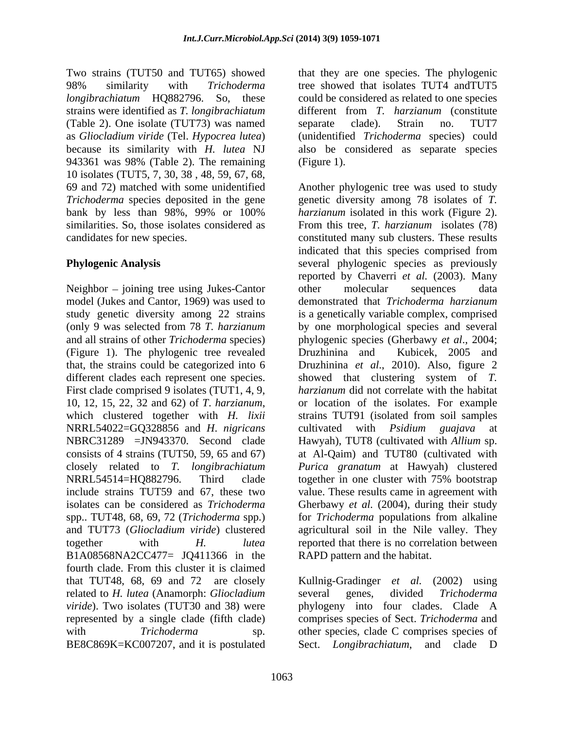Two strains (TUT50 and TUT65) showed that they are one species. The phylogenic 98% similarity with *Trichoderma* tree showed that isolates TUT4 andTUT5 *longibrachiatum* HQ882796. So, these could be considered as related to one species strains were identified as *T. longibrachiatum* different from *T. harzianum* (constitute (Table 2). One isolate (TUT73) was named as *Gliocladium viride* (Tel. *Hypocrea lutea*) (unidentified *Trichoderma* species) could because its similarity with *H. lutea* NJ also be considered as separate species 943361 was 98% (Table 2). The remaining 10 isolates (TUT5, 7, 30, 38 , 48, 59, 67, 68, bank by less than 98%, 99% or 100%

Neighbor – joining tree using Jukes-Cantor other molecular sequences data (Figure 1). The phylogenic tree revealed Druzhinina and Kubicek, 2005 and First clade comprised 9 isolates (TUT1, 4, 9, NRRL54022=GQ328856 and *H*. *nigricans* NRRL54514=HO882796. Third clade together in one cluster with 75% bootstrap spp.. TUT48, 68, 69, 72 (*Trichoderma* spp.) and TUT73 (*Gliocladium viride*) clustered B1A08568NA2CC477= JQ411366 in the fourth clade. From this cluster it is claimed that TUT48, 68, 69 and 72 are closely Kullnig-Gradinger et al. (2002) using related to *H. lutea* (Anamorph: *Gliocladium viride*). Two isolates (TUT30 and 38) were represented by a single clade (fifth clade) comprises species of Sect. *Trichoderma* and with *Trichoderma* sp. other species, clade C comprises species of BE8C869K=KC007207, and it is postulated Sect. *Longibrachiatum*, and clade D

separate clade). Strain no. TUT7 (Figure 1).

69 and 72) matched with some unidentified Another phylogenic tree was used to study *Trichoderma* species deposited in the gene genetic diversity among 78 isolates of *T*. similarities. So, those isolates considered as From this tree, *T. harzianum* isolates (78) candidates for new species. constituted many sub clusters. These results **Phylogenic Analysis** everal phylogenic species as previously model (Jukes and Cantor, 1969) was used to demonstrated that *Trichoderma harzianum* study genetic diversity among 22 strains is a genetically variable complex, comprised (only 9 was selected from 78 *T. harzianum* by one morphological species and several and all strains of other *Trichoderma* species) phylogenic species (Gherbawy *et al*., 2004; that, the strains could be categorized into 6 Druzhinina *et al*., 2010). Also, figure 2 different clades each represent one species. showed that clustering system of *T.*  10, 12, 15, 22, <sup>32</sup> and 62) of *<sup>T</sup>*. *harzianum*, which clustered together with *H. lixii* NBRC31289 =JN943370. Second clade Hawyah), TUT8 (cultivated with *Allium* sp. consists of 4 strains (TUT50, 59, 65 and 67) at Al-Qaim) and TUT80 (cultivated with closely related to *T. longibrachiatum Purica granatum* at Hawyah) clustered include strains TUT59 and 67, these two value. These results came in agreement with isolates can be considered as *Trichoderma* Gherbawy *et al.* (2004), during their study together with *H. lutea* reported that there is no correlation between *harzianum* isolated in this work (Figure 2). indicated that this species comprised from reported by Chaverri *et al.* (2003). Many other molecular sequences data Druzhinina and Kubicek, 2005 and *harzianum* did not correlate with the habitat or location of the isolates. For example strains TUT91 (isolated from soil samples cultivated with *Psidium guajava* at together in one cluster with 75% bootstrap for *Trichoderma* populations from alkaline agricultural soil in the Nile valley. They RAPD pattern and the habitat.

> Kullnig-Gradinger *et al.* (2002) using several genes, divided *Trichoderma* phylogeny into four clades. Clade A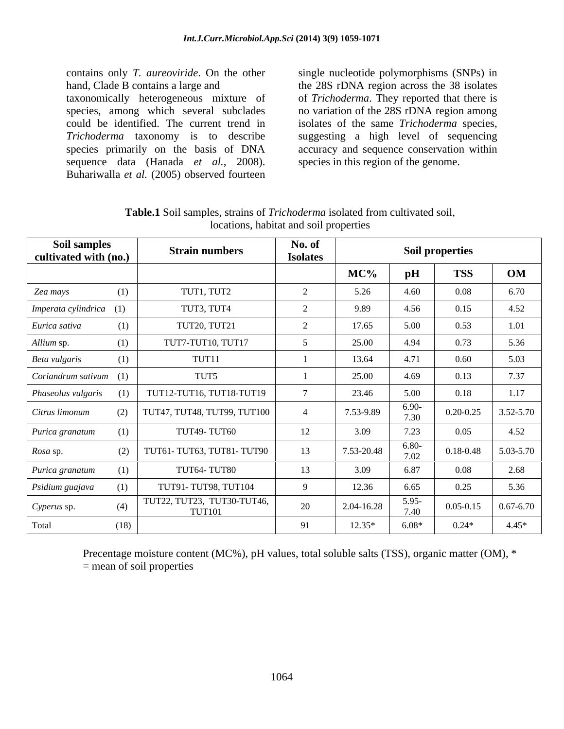contains only *T. aureoviride*. On the other single nucleotide polymorphisms (SNPs) in hand, Clade B contains a large and the 28S rDNA region across the 38 isolates<br>taxonomically heterogeneous mixture of of *Trichoderma*. They reported that there is species, among which several subclades no variation of the 28S rDNA region among could be identified. The current trend in isolates of the same *Trichoderma* species, *Trichoderma* taxonomy is to describe suggesting a high level of sequencing species primarily on the basis of DNA sequence data (Hanada *et al.*, 2008). Buhariwalla *et al.* (2005) observed fourteen

the 28S rDNA region across the 38 isolates of *Trichoderma*. They reported that there is accuracy and sequence conservation within species in this region of the genome.

| Soil samples<br>cultivated with (no.) |      | <b>Strain numbers</b>                       | No. of<br><b>Isolates</b> |            |                 | <b>Soil properties</b> |               |
|---------------------------------------|------|---------------------------------------------|---------------------------|------------|-----------------|------------------------|---------------|
|                                       |      |                                             |                           | MC%        | pH              | <b>TSS</b>             | OM            |
| Zea mays                              | (1)  | TUT1, TUT2                                  |                           | 5.26       | 4.60            | 0.08                   | 6.70          |
| Imperata cylindrica (1)               |      | TUT3, TUT4                                  |                           | 9.89       | 4.56            | 0.15                   | 4.52          |
| Eurica sativa                         |      | <b>TUT20, TUT21</b>                         |                           | 17.65      | 5.00            | 0.53                   | 1.01          |
| Allium sp.                            |      | TUT7-TUT10, TUT17                           |                           | 25.00      | 4.94            | 0.73                   | 5.36          |
| Beta vulgaris                         |      | TUT11                                       |                           | 13.64      | 4.71            | 0.60                   | 5.03          |
| Coriandrum sativum (1)                |      | TUT5                                        |                           | 25.00      | 4.69            | 0.13                   | 7.37          |
| Phaseolus vulgaris                    |      | TUT12-TUT16, TUT18-TUT19                    |                           | 23.46      | 5.00            | 0.18                   | 1.17          |
| Citrus limonum                        | (2)  | TUT47, TUT48, TUT99, TUT100                 |                           | 7.53-9.89  | 6.90-<br>7.20   | $0.20 - 0.25$          | 3.52-5.70     |
| Purica granatum                       |      | <b>TUT49-TUT60</b>                          | 12                        | 3.09       | 7.23            | 0.05                   | 4.52          |
| <i>Rosa</i> sp.                       |      | TUT61- TUT63, TUT81- TUT90                  | 13                        | 7.53-20.48 | $6.80-$<br>7.02 | 0.18-0.48              | $5.03 - 5.70$ |
| Purica granatum                       |      | TUT64-TUT80                                 | 13                        | 3.09       | 6.87            | 0.08                   | 2.68          |
| Psidium guajava                       |      | TUT91-TUT98, TUT104                         |                           | 12.36      | 6.65            | 0.25                   | 5.36          |
| Cyperus sp.                           | (4)  | TUT22, TUT23, TUT30-TUT46,<br><b>TUT101</b> | 20                        | 2.04-16.28 | 5.95<br>7.40    | $0.05 - 0.15$          | $0.67 - 6.70$ |
| Total                                 | (18) |                                             | 91                        | $12.35*$   | $6.08*$         | $0.24*$                | $4.45*$       |

**Table.1** Soil samples, strains of *Trichoderma* isolated from cultivated soil, locations, habitat and soil properties

Precentage moisture content (MC%), pH values, total soluble salts (TSS), organic matter (OM), \* = mean of soil properties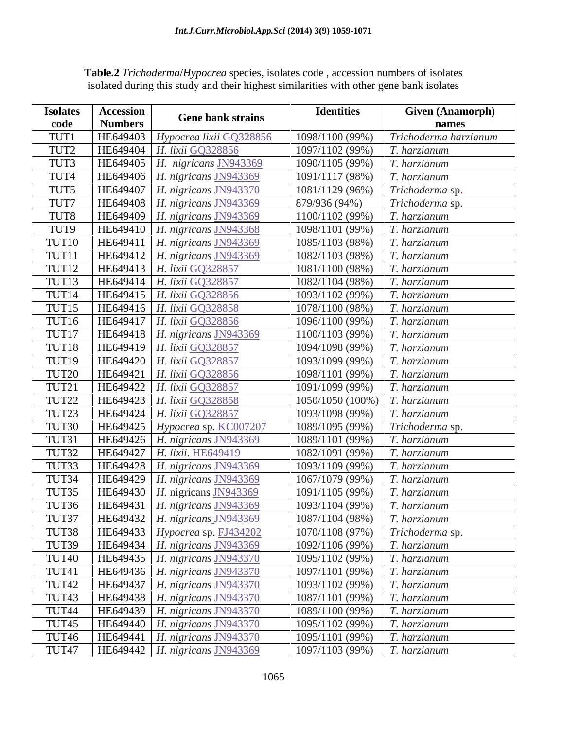| <b>Isolates</b>   | <b>Accession</b> | <b>Gene bank strains</b>                        | <b>Identities</b>                        | <b>Given (Anamorph)</b> |
|-------------------|------------------|-------------------------------------------------|------------------------------------------|-------------------------|
| code              | <b>Numbers</b>   |                                                 |                                          |                         |
| TUT1              | HE649403         | Hypocrea lixii GQ328856                         | 1098/1100 (99%)                          | Trichoderma harzianum   |
| TUT2              |                  | HE649404   H. lixii GQ328856                    | 1097/1102 (99%)                          | T. harzianum            |
| TUT3              |                  | HE649405   H. nigricans JN943369                | 1090/1105 (99%)                          | T. harzianum            |
| TUT4              |                  | HE649406   H. nigricans JN943369                | 1091/1117 (98%)                          | $T.$ harzianum          |
| TUT5              |                  | HE649407   H. nigricans JN943370                | 1081/1129 (96%)                          | Trichoderma sp.         |
| TUT7              |                  | HE649408   H. nigricans JN943369                | 879/936 (94%)                            | Trichoderma sp.         |
| TUT8              |                  | HE649409   H. nigricans JN943369                | 1100/1102 (99%)                          | T. harzianum            |
| TUT9              |                  | HE649410   H. nigricans JN943368                | 1098/1101 (99%)                          | T. harzianum            |
| TUT10             |                  | HE649411   H. nigricans JN943369                | 1085/1103 (98%)                          | $T.$ harzianum          |
| TUT11             |                  | HE649412   H. nigricans JN943369                | 1082/1103 (98%)                          | T. harzianum            |
| TUT12             |                  | HE649413   H. lixii GQ328857                    | 1081/1100 (98%)                          | T. harzianum            |
| TUT <sub>13</sub> |                  | HE649414   H. lixii GQ328857                    | 1082/1104 (98%)                          | T. harzianum            |
| TUT14             |                  | HE649415   H. lixii GQ328856                    | 1093/1102 (99%)                          | $T.$ harzianum          |
| TUT15             |                  | HE649416   H. lixii GQ328858                    | 1078/1100 (98%)                          | $T.$ harzianum          |
| TUT16             |                  | HE649417   H. lixii GQ328856                    | 1096/1100 (99%)                          | T. harzianum            |
| TUT17             |                  | HE649418   H. nigricans JN943369                | 1100/1103 (99%)                          | $T.$ harzianum          |
| TUT18             |                  | HE649419   H. lixii GQ328857                    | 1094/1098 (99%)                          | $T.$ harzianum          |
| TUT19             |                  | HE649420   H. lixii GQ328857                    | 1093/1099 (99%)                          | T. harzianum            |
| TUT20             |                  | HE649421   H. lixii GQ328856                    | 1098/1101 (99%)                          | T. harzianum            |
| TUT21             |                  | HE649422   H. lixii GQ328857                    | 1091/1099 (99%)                          | T. harzianum            |
| TUT22             |                  | HE649423   H. lixii GQ328858                    | 1050/1050 (100%) <i>T. harzianum</i>     |                         |
| TUT23             |                  | HE649424   H. lixii GQ328857                    | 1093/1098 (99%)                          | T. harzianum            |
| TUT30             |                  | HE649425   Hypocrea sp. KC00720                 | 1089/1095 (99%)                          | Trichoderma sp.         |
| TUT31             |                  | HE649426   H. nigricans JN943369                | 1089/1101 (99%)                          | T. harzianum            |
| TUT32             |                  | HE649427   H. lixii. HE649419                   | 1082/1091 (99%)                          | $\mid$ T. harzianum     |
| TUT33             |                  | HE649428   H. nigricans JN943369                | 1093/1109 (99%)                          | T. harzianum            |
| TUT34             |                  | HE649429   H. nigricans JN943369                | 1067/1079 (99%)                          | $T.$ harzianum          |
| TUT35             |                  | HE649430   H. nigricans $JN943369$              | 1091/1105 (99%)                          | $T.$ harzianum          |
|                   |                  | HE649431   H. nigricans JN943369                |                                          |                         |
| TUT36             |                  |                                                 | 1093/1104 (99%)   T. harzianum           |                         |
| TUT37             |                  | HE649432   H. nigricans_JN943369                | 1087/1104 (98%)   T. harzianum           |                         |
| TUT38             |                  | HE649433   Hypocrea sp. FJ434202                | $1070/1108$ (97%) <i>Trichoderma</i> sp. |                         |
| TUT39             |                  | HE649434   H. nigricans JN943369                | 1092/1106 (99%) T. harzianum             |                         |
| TUT40             |                  | HE649435   H. nigricans JN943370                | 1095/1102 (99%) <i>T. harzianum</i>      |                         |
| TUT41             |                  | HE649436   H. nigricans JN943370                | 1097/1101 (99%)   T. harzianum           |                         |
| TUT42             |                  | HE649437   H. nigricans JN943370                | 1093/1102 (99%)   T. harzianum           |                         |
| TUT43             |                  | HE649438   H. nigricans JN943370                | 1087/1101 (99%)   T. harzianum           |                         |
| TUT44             |                  | HE649439   H. nigricans JN943370                | 1089/1100 (99%) <i>T. harzianum</i>      |                         |
| TUT45             |                  | HE649440   H. nigricans $JN943370$              | 1095/1102 (99%)   T. harzianum           |                         |
| TUT <sub>46</sub> |                  | HE649441   H. nigricans $JN943370$              | 1095/1101 (99%)   T. harzianum           |                         |
|                   |                  | TUT47   HE649442   <i>H. nigricans</i> JN943369 | 1097/1103 (99%) <i>T. harzianum</i>      |                         |

**Table.2** *Trichoderma*/*Hypocrea* species, isolates code , accession numbers of isolates isolated during this study and their highest similarities with other gene bank isolates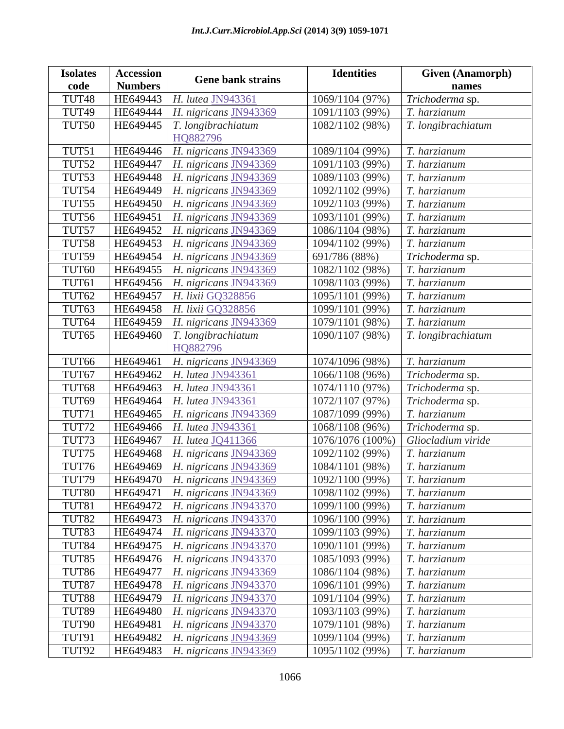| <b>Isolates</b>   | Accession      |                                          | <b>Identities</b>              | <b>Given (Anamorph)</b> |
|-------------------|----------------|------------------------------------------|--------------------------------|-------------------------|
| code              | <b>Numbers</b> | <b>Gene bank strains</b>                 |                                | names                   |
| TUT48             | HE64944.       | H. lutea JN943361                        | 1069/1104 (97%)                | Trichoderma sp.         |
| TUT49             |                | HE649444   H. nigricans JN943369         | 1091/1103 (99%)                | T. harzianum            |
| TUT50             |                | $HE649445$   T. longibrachiatum          | 1082/1102 (98%)                | T. longibrachiatum      |
|                   |                | HO882796                                 |                                |                         |
| TUT51             |                | HE649446   H. nigricans JN943369         | 1089/1104 (99%)                | T. harzianum            |
| TUT52             |                | HE649447   H. nigricans JN943369         | 1091/1103 (99%)                | T. harzianum            |
| TUT53             |                | HE649448   H. nigricans JN943369         | 1089/1103 (99%)                | T. harzianum            |
| TUT54             |                | HE649449   H. nigricans JN943369         | 1092/1102 (99%)                | T. harzianum            |
| TUT <sub>55</sub> |                | HE649450   H. nigricans JN943369         | 1092/1103 (99%)                | T. harzianum            |
| TUT56             |                | $HE649451$   H. nigricans JN943369       | 1093/1101 (99%)                | T. harzianum            |
| TUT57             |                | HE649452   H. nigricans JN943369         | 1086/1104 (98%)                | T. harzianum            |
| TUT58             |                | HE649453   H. nigricans JN943369         | 1094/1102 (99%)                | T. harzianum            |
| TUT59             |                | HE649454   H. nigricans JN943369         | 691/786 (88%)                  | Trichoderma sp.         |
| TUT60             |                | $HE649455$   H. nigricans JN943369       | 1082/1102 (98%)                | T. harzianum            |
| TUT61             |                | HE649456   H. nigricans JN943369         | 1098/1103 (99%)                | T. harzianum            |
| TUT62             |                | HE649457   H. lixii GQ328856             | 1095/1101 (99%)                | T. harzianum            |
| TUT63             |                | HE649458   H. lixii GQ328856             | 1099/1101 (99%)                | T. harzianum            |
| TUT64             |                | HE649459   H. nigricans JN943369         | 1079/1101 (98%)                | T. harzianum            |
| TUT65             |                | $HE649460$   T. longibrachiatum          | 1090/1107 (98%)                | T. longibrachiatum      |
|                   |                | HO882796                                 |                                |                         |
| TUT66             |                | HE649461   H. nigricans JN943369         | 1074/1096 (98%)                | T. harzianum            |
| TUT67             |                | HE649462   H. lutea JN943361             | 1066/1108 (96%)                | Trichoderma sp.         |
| TUT68             | HE649463       | <i>H. lutea JN943361</i>                 | 1074/1110 (97%)                | Trichoderma sp.         |
| TUT69             |                | HE649464   H. lutea JN943361             | 1072/1107 (97%)                | Trichoderma sp.         |
| TUT71             |                | HE649465   H. nigricans JN943369         | 1087/1099 (99%)                | T. harzianum            |
| TUT72             |                | HE649466   H. lutea JN943361             | 1068/1108 (96%)                | Trichoderma sp.         |
| TUT73             |                | HE649467   H. lutea JQ411366             | 1076/1076 (100%)               | Gliocladium viride      |
| TUT75             |                | HE649468   H. nigricans JN943369         | 1092/1102 (99%)                | T. harzianum            |
| TUT76             |                | HE649469   H. nigricans JN943369         | 1084/1101 (98%)                | T. harzianum            |
|                   |                | TUT79   HE649470   H. nigricans JN943369 | $1092/1100(99%)$ T. harzianum  |                         |
| TUT80             |                | HE649471   H. nigricans JN943369         | 1098/1102 (99%)                | T. harzianum            |
| TUT81             |                | HE649472   H. nigricans JN943370         | 1099/1100 (99%)                | T. harzianum            |
| TUT82             |                | HE649473   H. nigricans JN943370         | 1096/1100 (99%)                | $T.$ harzianum          |
| TUT83             |                | HE649474   H. nigricans JN943370         | 1099/1103 (99%)                | T. harzianum            |
| TUT84             |                | HE649475   H. nigricans JN943370         | 1090/1101(99%)                 | $T.$ harzianum          |
| TUT85             |                | HE649476   H. nigricans JN943370         | 1085/1093 (99%)                | T. harzianum            |
| TUT86             |                | HE649477   H. nigricans JN943369         | 1086/1104 (98%)                | T. harzianum            |
| TUT87             |                | HE649478   H. nigricans JN943370         | 1096/1101 (99%)                | T. harzianum            |
| TUT88             |                | HE649479   H. nigricans JN943370         | 1091/1104 (99%)                | T. harzianum            |
| TUT89             |                | HE649480   H. nigricans JN943370         | 1093/1103(99%)                 | $T.$ harzianum          |
| TUT90             |                | HE649481   H. nigricans JN943370         | 1079/1101 (98%)                | T. harzianum            |
| TUT91             |                | HE649482   H. nigricans JN943369         | 1099/1104 (99%)                | T. harzianum            |
| TUT92             |                | HE649483   H. nigricans JN943369         | 1095/1102 (99%)   T. harzianum |                         |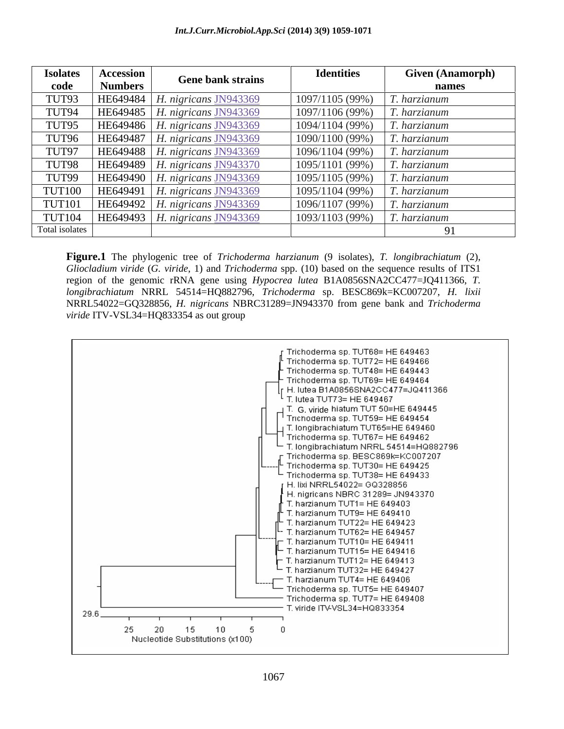| <b>Isolates</b> | Accession      | <b>Gene bank strains</b>           | <b>Identities</b> | <b>Given (Anamorph)</b> |
|-----------------|----------------|------------------------------------|-------------------|-------------------------|
| code            | <b>Numbers</b> |                                    |                   | names                   |
| TUT93           |                | HE649484   H. nigricans $JN943369$ | 1097/1105 (99%)   | harzianum.              |
| TUT94           |                | HE649485   $H.$ nigricans JN943369 | 1097/1106 (99%)   | harzianum .             |
| TUT95           |                | HE649486   H. nigricans $JN943369$ | 1094/1104 (99%)   | harzianum .             |
| TUT96           |                | HE649487   H. nigricans JN943369   | 1090/1100 (99%)   | harzianum.              |
| TUT97           |                | HE649488   H. nigricans JN943369   | 1096/1104 (99%)   | harzianum .             |
| TUT98           |                | HE649489   H. nigricans JN943370   | 1095/1101 (99%)   | harzianum .             |
| TUT99           |                | HE649490   H. nigricans JN943369   | 1095/1105 (99%)   | T. harzianum            |
| <b>TUT100</b>   |                | HE649491   H. nigricans JN943369   | 1095/1104 (99%)   | T. harzianum            |
| <b>TUT101</b>   |                | HE649492   H. nigricans JN943369   | 1096/1107 (99%)   | T. harzianum            |
| <b>TUT104</b>   |                | HE649493   H. nigricans JN943369   | 1093/1103 (99%)   | harzianum.              |
| Total isolates  |                |                                    |                   |                         |

**Figure.1** The phylogenic tree of *Trichoderma harzianum* (9 isolates), *T. longibrachiatum* (2), *Gliocladium viride* (*G. viride*, 1) and *Trichoderma* spp. (10) based on the sequence results of ITS1 region of the genomic rRNA gene using *Hypocrea lutea* B1A0856SNA2CC477=JQ411366, *T. longibrachiatum* NRRL 54514=HQ882796, *Trichoderma* sp. BESC869k=KC007207, *H. lixii* NRRL54022=GQ328856, *H. nigricans* NBRC31289=JN943370 from gene bank and *Trichoderma viride* ITV-VSL34=HQ833354 as out group

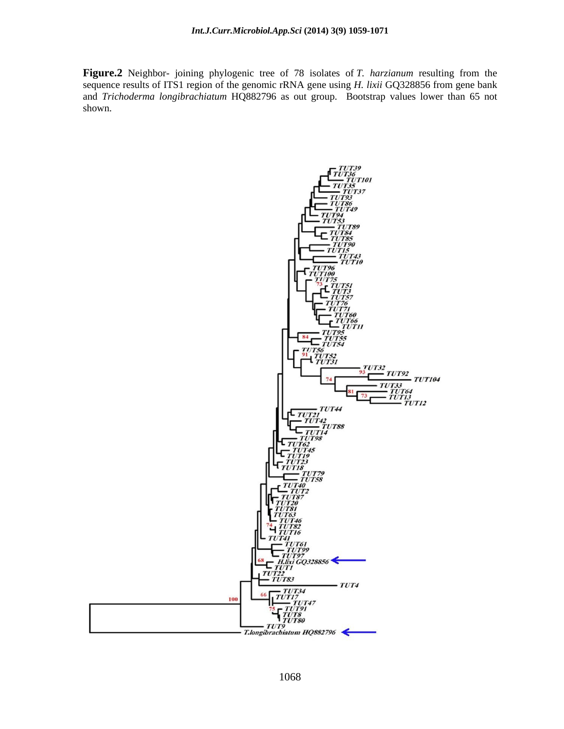**Figure.2** Neighbor- joining phylogenic tree of 78 isolates of *T. harzianum* resulting from the sequence results of ITS1 region of the genomic rRNA gene using *H. lixii* GQ328856 from gene bank and *Trichoderma longibrachiatum* HQ882796 as out group. Bootstrap values lower than 65 not shown.

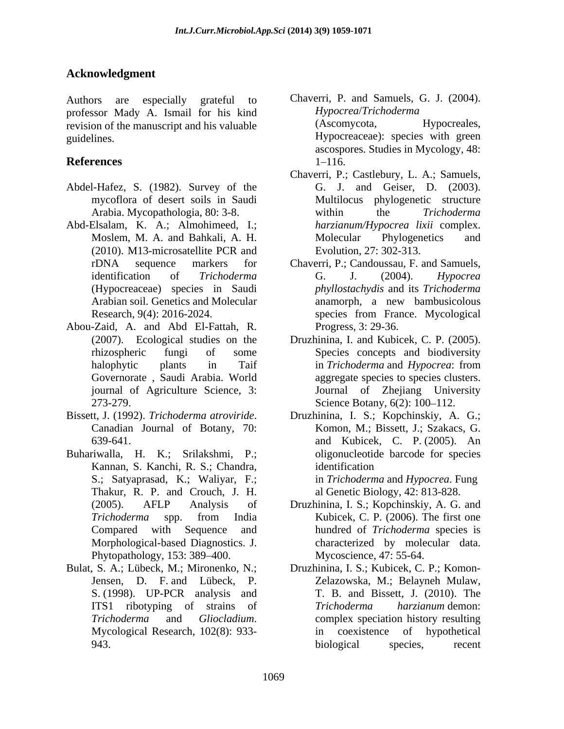## **Acknowledgment**

professor Mady A. Ismail for his kind<br>revision of the manuscript and his valuable (Ascomycota, Hypocreales, revision of the manuscript and his valuable

- Abdel-Hafez, S. (1982). Survey of the
- Abd-Elsalam, K. A.; Almohimeed, I.;
- Abou-Zaid, A. and Abd El-Fattah, R.
- 
- Buhariwalla, H. K.; Srilakshmi, P.; Kannan, S. Kanchi, R. S.; Chandra, identification<br>S.; Satyaprasad, K.; Waliyar, F.; in Trichoderm Thakur, R. P. and Crouch, J. H. Phytopathology, 153: 389–400.
- 
- Authors are especially grateful to Chaverri, P. and Samuels, G. J. (2004). guidelines. Hypocreaceae): species with green **References** *Hypocrea*/*Trichoderma* (Ascomycota, Hypocreales, ascospores. Studies in Mycology, 48:  $1 - 116.$ 
	- mycoflora of desert soils in Saudi Multilocus phylogenetic structure Arabia. Mycopathologia, 80: 3-8. <br>
	within the Trichoderma Moslem, M. A. and Bahkali, A. H. (2010). M13-microsatellite PCR and Chaverri, P.; Castlebury, L. A.; Samuels, G. J. and Geiser, D. (2003). within the *Trichoderma harzianum/Hypocrea lixii* complex. Molecular Phylogenetics and Evolution, 27: 302-313.
	- rDNA sequence markers for Chaverri, P.; Candoussau, F. and Samuels, identification of *Trichoderma*  (Hypocreaceae) species in Saudi *phyllostachydis* and its *Trichoderma*  Arabian soil. Genetics and Molecular Research, 9(4): 2016-2024. species from France. Mycological G. J. (2004). *Hypocrea*  anamorph, a new bambusicolous species from France. Mycological Progress, 3: 29-36.
	- (2007). Ecological studies on the Druzhinina, I. and Kubicek, C. P. (2005). rhizospheric fungi of some Species concepts and biodiversity halophytic plants in Taif in Trichoderma and Hypocrea: from Governorate , Saudi Arabia. World aggregate species to species clusters. journal of Agriculture Science, 3: Journal of Zhejiang University 273-279. Science Botany, 6(2): 100 112. Druzhinina, I. and Kubicek, C. P. (2005).<br>Species concepts and biodiversity in *Trichoderma* and *Hypocrea*: from
- Bissett, J. (1992). *Trichoderma atroviride*. Druzhinina, I. S.; Kopchinskiy, A. G.; Canadian Journal of Botany, 70: Komon, M.; Bissett, J.; Szakacs, G. 639-641. and Kubicek, C. P. (2005). An Druzhinina, I. S.; Kopchinskiy, A. G.; Komon, M.; Bissett, J.; Szakacs, G. oligonucleotide barcode for species identification **in the set of the set of the set of the set of the set of the set of the set of the set of the set of the set of the set of the set of the set of the set of the set of the set of the set of the set of the s** in *Trichoderma* and *Hypocrea*. Fung al Genetic Biology, 42: 813-828.
	- (2005). AFLP Analysis of Druzhinina, I. S.; Kopchinskiy, A. G. and *Trichoderma* spp. from India Compared with Sequence and hundred of *Trichoderma* species is Morphological-based Diagnostics. J. characterized by molecular data. Kubicek, C. P. (2006). The first one Mycoscience, 47: 55-64.
- Bulat, S. A.; Lübeck, M.; Mironenko, N.; Druzhinina, I. S.; Kubicek, C. P.; Komon- Jensen, D. F. and Lübeck, P. Zelazowska, M.; Belayneh Mulaw, S. (1998). UP-PCR analysis and T. B. and Bissett, J. (2010). The ITS1 ribotyping of strains of Trichoderma hargianum demon: *Trichoderma* and *Gliocladium*. complex speciation history resulting<br>Mycological Research, 102(8): 933- in coexistence of hypothetical 943. biological species, recent T. B. and Bissett, J. (2010). The *Trichoderma harzianum* demon: complex speciation history resulting in coexistence of hypothetical biological species, recent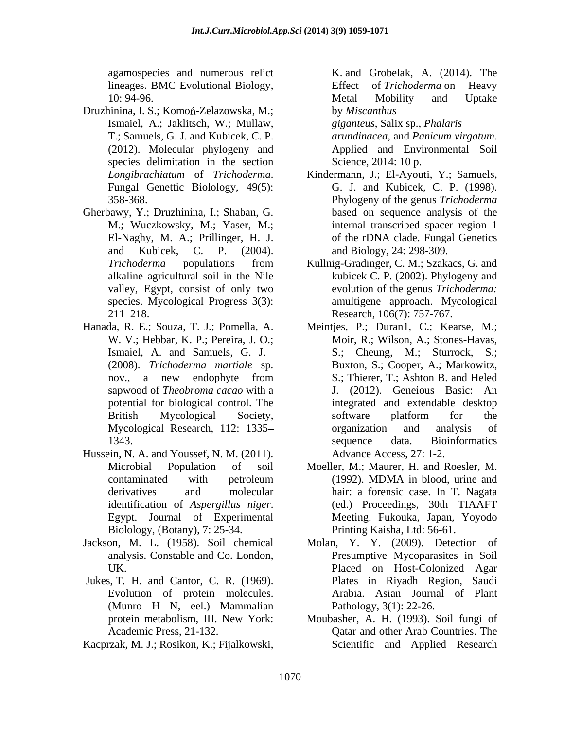lineages. BMC Evolutional Biology, Effect of Trichoderma on Heavy

- Druzhinina, I. S.; Komoń-Zelazowska, M.; by Miscanthus Ismaiel, A.; Jaklitsch, W.; Mullaw, T.; Samuels, G. J. and Kubicek, C. P. species delimitation in the section
- Gherbawy, Y.; Druzhinina, I.; Shaban, G.
- 
- Hussein, N. A. and Youssef, N. M. (2011). Biolology, (Botany), 7: 25-34.
- 
- Jukes, T. H. and Cantor, C. R. (1969).
- 

agamospecies and numerous relict K. and Grobelak, A. (2014). The 10: 94-96. Effect of *Trichoderma* on Heavy Metal Mobility and Uptake by *Miscanthus giganteus*, Salix sp., *Phalaris*

(2012). Molecular phylogeny and Applied and Environmental Soil *arundinacea*, and *Panicum virgatum.*  Science, 2014: 10 p.

- *Longibrachiatum* of *Trichoderma*. Kindermann, J.; El-Ayouti, Y.; Samuels, Fungal Genettic Biolology, 49(5): G. J. and Kubicek, C. P. (1998). 358-368. Phylogeny of the genus *Trichoderma*  M.; Wuczkowsky, M.; Yaser, M.; internal transcribed spacer region 1 El-Naghy, M. A.; Prillinger, H. J. of the rDNA clade. Fungal Genetics and Kubicek, C. P. (2004). and Biology, 24: 298-309. Kindermann, J.; El-Ayouti, Y.; Samuels, G. J. and Kubicek, C. P. (1998). based on sequence analysis of the
- *Trichoderma* populations from Kullnig-Gradinger, C. M.; Szakacs, G. and alkaline agricultural soil in the Nile kubicek C. P. (2002). Phylogeny and valley, Egypt, consist of only two evolution of the genus *Trichoderma:*  species. Mycological Progress 3(3): amultigene approach. Mycological 211 218. Research, 106(7): 757-767.
- Hanada, R. E.; Souza, T. J.; Pomella, A. Meintjes, P.; Duran1, C.; Kearse, M.; W. V.; Hebbar, K. P.; Pereira, J. O.; Moir, R.; Wilson, A.; Stones-Havas, Ismaiel, A. and Samuels, G. J. S.; Cheung, M.; Sturrock, S.; (2008). *Trichoderma martiale* sp. nov., a new endophyte from S.; Thierer, T.; Ashton B. and Heled sapwood of *Theobroma cacao* with a J. (2012). Geneious Basic: An potential for biological control. The integrated and extendable desktop British Mycological Society, Mycological Research, 112: 1335– organization and analysis of 1343. Sequence data. Bioinformatics aganospectros and matrices and Nobels (1. 1014). The matrices of the state of the state of the state of the state of the state of the state of the state of the state of the state of the state of the state of the state of t Buxton, S.; Cooper, A.; Markowitz, S.; Thierer, T.; Ashton B. and Heled software platform for the organization and analysis of sequence data. Bioinformatics Advance Access, 27: 1-2.
	- Microbial Population of soil Moeller, M.; Maurer, H. and Roesler, M. contaminated with petroleum (1992). MDMA in blood, urine and derivatives and molecular hair: a forensic case. In T. Nagata identification of *Aspergillus niger*. Egypt. Journal of Experimental (1992). MDMA in blood, urine and (ed.) Proceedings, 30th TIAAFT Meeting. Fukouka, Japan, Yoyodo Printing Kaisha, Ltd: 56-61.
- Jackson, M. L. (1958). Soil chemical Molan, Y. Y. (2009). Detection of analysis. Constable and Co. London, Presumptive Mycoparasites in Soil UK. Placed on Host-Colonized Agar Evolution of protein molecules. Arabia. Asian Journal of Plant (Munro H N, eel.) Mammalian Plates in Riyadh Region, Saudi Pathology, 3(1): 22-26.
	- protein metabolism, III. New York: Moubasher, A. H. (1993). Soil fungi of Academic Press, 21-132. Qatar and other Arab Countries. The Scientific and Applied Research